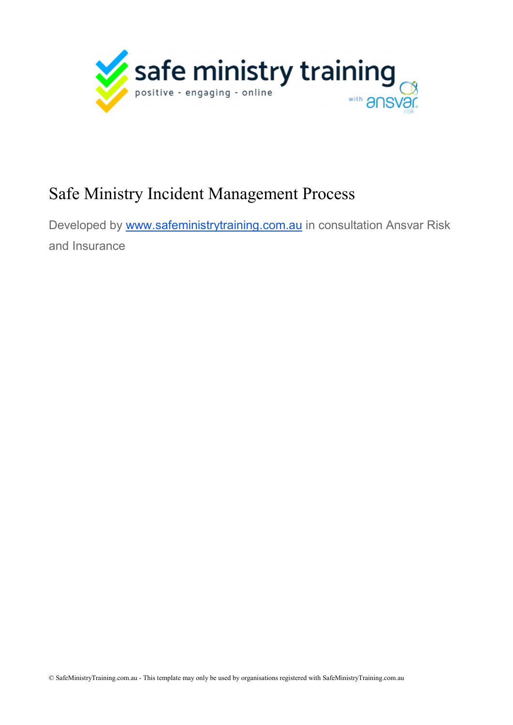

# Safe Ministry Incident Management Process

Developed by www.safeministrytraining.com.au in consultation Ansvar Risk and Insurance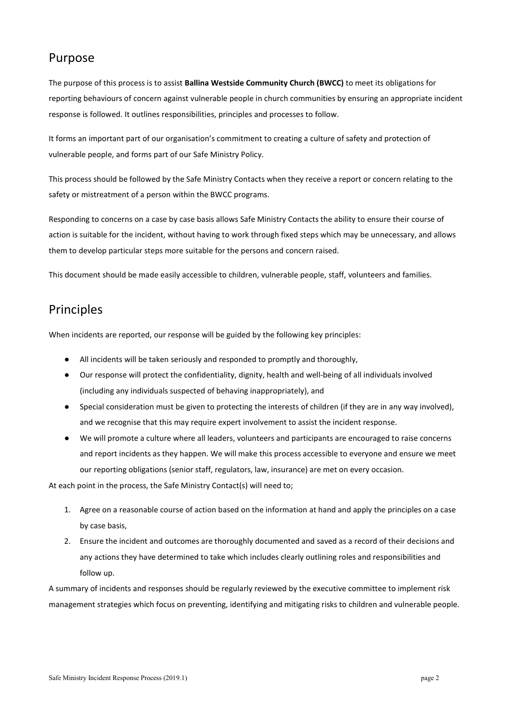### Purpose

The purpose of this process is to assist Ballina Westside Community Church (BWCC) to meet its obligations for reporting behaviours of concern against vulnerable people in church communities by ensuring an appropriate incident response is followed. It outlines responsibilities, principles and processes to follow.

It forms an important part of our organisation's commitment to creating a culture of safety and protection of vulnerable people, and forms part of our Safe Ministry Policy.

This process should be followed by the Safe Ministry Contacts when they receive a report or concern relating to the safety or mistreatment of a person within the BWCC programs.

Responding to concerns on a case by case basis allows Safe Ministry Contacts the ability to ensure their course of action is suitable for the incident, without having to work through fixed steps which may be unnecessary, and allows them to develop particular steps more suitable for the persons and concern raised.

This document should be made easily accessible to children, vulnerable people, staff, volunteers and families.

### Principles

When incidents are reported, our response will be guided by the following key principles:

- All incidents will be taken seriously and responded to promptly and thoroughly,
- Our response will protect the confidentiality, dignity, health and well-being of all individuals involved (including any individuals suspected of behaving inappropriately), and
- Special consideration must be given to protecting the interests of children (if they are in any way involved), and we recognise that this may require expert involvement to assist the incident response.
- We will promote a culture where all leaders, volunteers and participants are encouraged to raise concerns and report incidents as they happen. We will make this process accessible to everyone and ensure we meet our reporting obligations (senior staff, regulators, law, insurance) are met on every occasion.

At each point in the process, the Safe Ministry Contact(s) will need to;

- 1. Agree on a reasonable course of action based on the information at hand and apply the principles on a case by case basis,
- 2. Ensure the incident and outcomes are thoroughly documented and saved as a record of their decisions and any actions they have determined to take which includes clearly outlining roles and responsibilities and follow up.

A summary of incidents and responses should be regularly reviewed by the executive committee to implement risk management strategies which focus on preventing, identifying and mitigating risks to children and vulnerable people.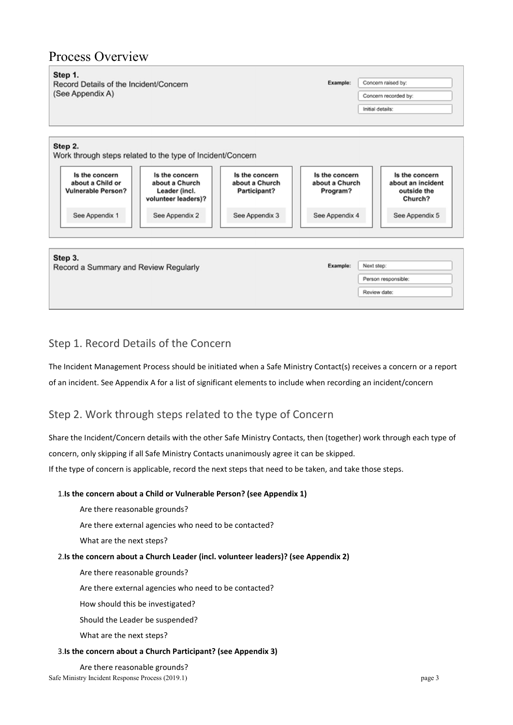### Process Overview



### Step 1. Record Details of the Concern

The Incident Management Process should be initiated when a Safe Ministry Contact(s) receives a concern or a report of an incident. See Appendix A for a list of significant elements to include when recording an incident/concern

### Step 2. Work through steps related to the type of Concern

Share the Incident/Concern details with the other Safe Ministry Contacts, then (together) work through each type of concern, only skipping if all Safe Ministry Contacts unanimously agree it can be skipped.

If the type of concern is applicable, record the next steps that need to be taken, and take those steps.

#### 1.Is the concern about a Child or Vulnerable Person? (see Appendix 1)

- Are there reasonable grounds?
- Are there external agencies who need to be contacted?

What are the next steps?

#### 2.Is the concern about a Church Leader (incl. volunteer leaders)? (see Appendix 2)

Are there reasonable grounds?

Are there external agencies who need to be contacted?

How should this be investigated?

Should the Leader be suspended?

What are the next steps?

#### 3.Is the concern about a Church Participant? (see Appendix 3)

Safe Ministry Incident Response Process (2019.1) page 3 Are there reasonable grounds?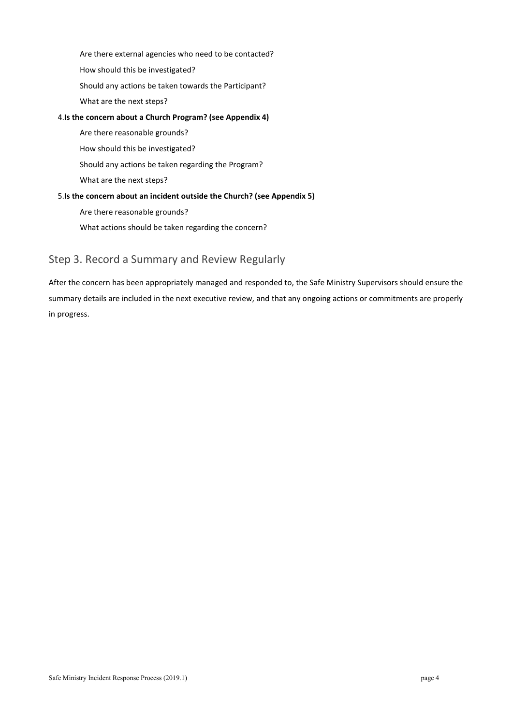Are there external agencies who need to be contacted? How should this be investigated? Should any actions be taken towards the Participant? What are the next steps?

#### 4.Is the concern about a Church Program? (see Appendix 4)

Are there reasonable grounds?

How should this be investigated?

Should any actions be taken regarding the Program?

What are the next steps?

#### 5.Is the concern about an incident outside the Church? (see Appendix 5)

Are there reasonable grounds?

What actions should be taken regarding the concern?

### Step 3. Record a Summary and Review Regularly

After the concern has been appropriately managed and responded to, the Safe Ministry Supervisors should ensure the summary details are included in the next executive review, and that any ongoing actions or commitments are properly in progress.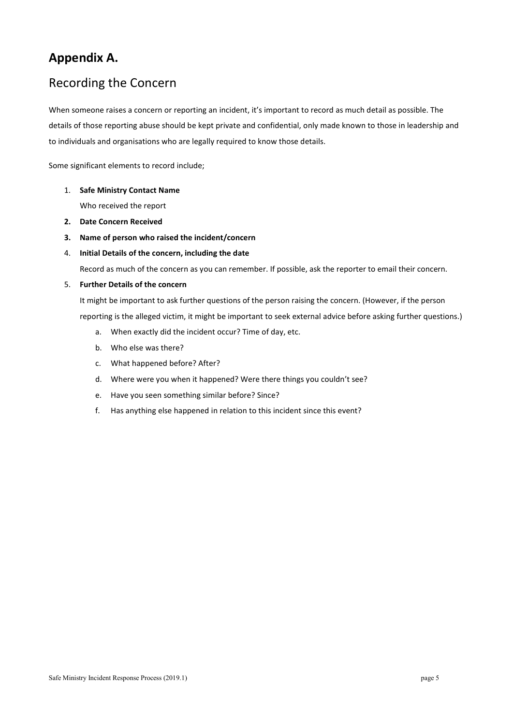# Appendix A.

# Recording the Concern

When someone raises a concern or reporting an incident, it's important to record as much detail as possible. The details of those reporting abuse should be kept private and confidential, only made known to those in leadership and to individuals and organisations who are legally required to know those details.

Some significant elements to record include;

1. Safe Ministry Contact Name

Who received the report

- 2. Date Concern Received
- 3. Name of person who raised the incident/concern
- 4. Initial Details of the concern, including the date

Record as much of the concern as you can remember. If possible, ask the reporter to email their concern.

#### 5. Further Details of the concern

It might be important to ask further questions of the person raising the concern. (However, if the person reporting is the alleged victim, it might be important to seek external advice before asking further questions.)

- a. When exactly did the incident occur? Time of day, etc.
- b. Who else was there?
- c. What happened before? After?
- d. Where were you when it happened? Were there things you couldn't see?
- e. Have you seen something similar before? Since?
- f. Has anything else happened in relation to this incident since this event?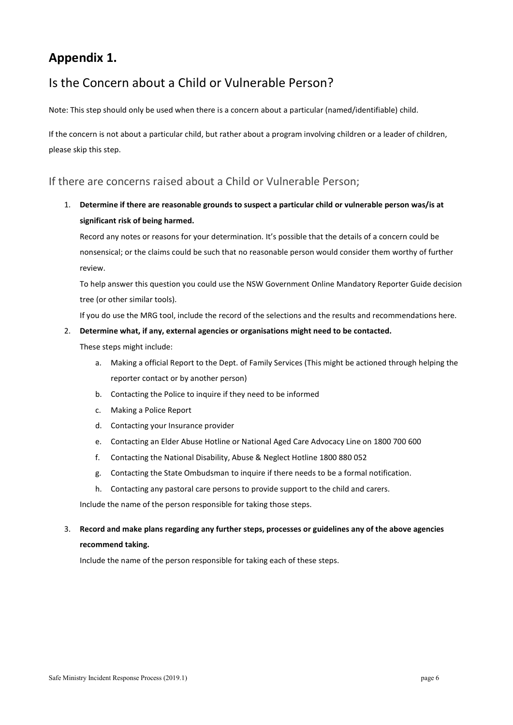# Appendix 1.

# Is the Concern about a Child or Vulnerable Person?

Note: This step should only be used when there is a concern about a particular (named/identifiable) child.

If the concern is not about a particular child, but rather about a program involving children or a leader of children, please skip this step.

### If there are concerns raised about a Child or Vulnerable Person;

1. Determine if there are reasonable grounds to suspect a particular child or vulnerable person was/is at significant risk of being harmed.

Record any notes or reasons for your determination. It's possible that the details of a concern could be nonsensical; or the claims could be such that no reasonable person would consider them worthy of further review.

To help answer this question you could use the NSW Government Online Mandatory Reporter Guide decision tree (or other similar tools).

If you do use the MRG tool, include the record of the selections and the results and recommendations here.

#### 2. Determine what, if any, external agencies or organisations might need to be contacted.

These steps might include:

- a. Making a official Report to the Dept. of Family Services (This might be actioned through helping the reporter contact or by another person)
- b. Contacting the Police to inquire if they need to be informed
- c. Making a Police Report
- d. Contacting your Insurance provider
- e. Contacting an Elder Abuse Hotline or National Aged Care Advocacy Line on 1800 700 600
- f. Contacting the National Disability, Abuse & Neglect Hotline 1800 880 052
- g. Contacting the State Ombudsman to inquire if there needs to be a formal notification.
- h. Contacting any pastoral care persons to provide support to the child and carers.

Include the name of the person responsible for taking those steps.

### 3. Record and make plans regarding any further steps, processes or guidelines any of the above agencies recommend taking.

Include the name of the person responsible for taking each of these steps.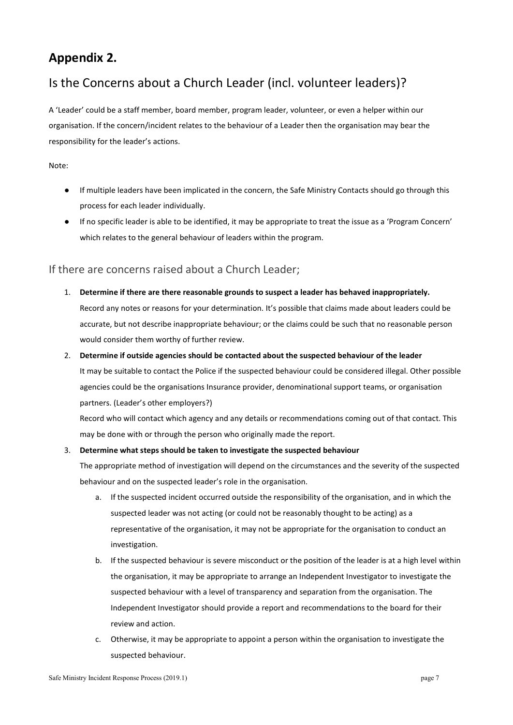### Appendix 2.

# Is the Concerns about a Church Leader (incl. volunteer leaders)?

A 'Leader' could be a staff member, board member, program leader, volunteer, or even a helper within our organisation. If the concern/incident relates to the behaviour of a Leader then the organisation may bear the responsibility for the leader's actions.

#### Note:

- If multiple leaders have been implicated in the concern, the Safe Ministry Contacts should go through this process for each leader individually.
- If no specific leader is able to be identified, it may be appropriate to treat the issue as a 'Program Concern' which relates to the general behaviour of leaders within the program.

### If there are concerns raised about a Church Leader;

- 1. Determine if there are there reasonable grounds to suspect a leader has behaved inappropriately. Record any notes or reasons for your determination. It's possible that claims made about leaders could be accurate, but not describe inappropriate behaviour; or the claims could be such that no reasonable person would consider them worthy of further review.
- 2. Determine if outside agencies should be contacted about the suspected behaviour of the leader It may be suitable to contact the Police if the suspected behaviour could be considered illegal. Other possible agencies could be the organisations Insurance provider, denominational support teams, or organisation partners. (Leader's other employers?)

Record who will contact which agency and any details or recommendations coming out of that contact. This may be done with or through the person who originally made the report.

#### 3. Determine what steps should be taken to investigate the suspected behaviour

The appropriate method of investigation will depend on the circumstances and the severity of the suspected behaviour and on the suspected leader's role in the organisation.

- a. If the suspected incident occurred outside the responsibility of the organisation, and in which the suspected leader was not acting (or could not be reasonably thought to be acting) as a representative of the organisation, it may not be appropriate for the organisation to conduct an investigation.
- b. If the suspected behaviour is severe misconduct or the position of the leader is at a high level within the organisation, it may be appropriate to arrange an Independent Investigator to investigate the suspected behaviour with a level of transparency and separation from the organisation. The Independent Investigator should provide a report and recommendations to the board for their review and action.
- c. Otherwise, it may be appropriate to appoint a person within the organisation to investigate the suspected behaviour.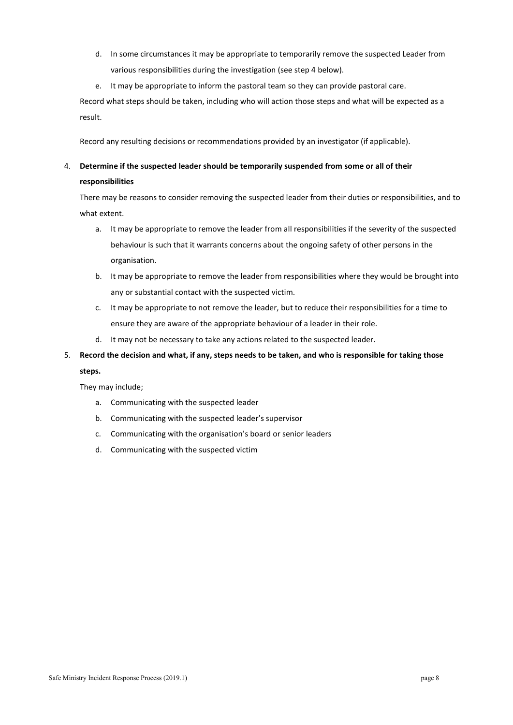- d. In some circumstances it may be appropriate to temporarily remove the suspected Leader from various responsibilities during the investigation (see step 4 below).
- e. It may be appropriate to inform the pastoral team so they can provide pastoral care.

Record what steps should be taken, including who will action those steps and what will be expected as a result.

Record any resulting decisions or recommendations provided by an investigator (if applicable).

# 4. Determine if the suspected leader should be temporarily suspended from some or all of their

#### responsibilities

There may be reasons to consider removing the suspected leader from their duties or responsibilities, and to what extent.

- a. It may be appropriate to remove the leader from all responsibilities if the severity of the suspected behaviour is such that it warrants concerns about the ongoing safety of other persons in the organisation.
- b. It may be appropriate to remove the leader from responsibilities where they would be brought into any or substantial contact with the suspected victim.
- c. It may be appropriate to not remove the leader, but to reduce their responsibilities for a time to ensure they are aware of the appropriate behaviour of a leader in their role.
- d. It may not be necessary to take any actions related to the suspected leader.

#### 5. Record the decision and what, if any, steps needs to be taken, and who is responsible for taking those

#### steps.

They may include;

- a. Communicating with the suspected leader
- b. Communicating with the suspected leader's supervisor
- c. Communicating with the organisation's board or senior leaders
- d. Communicating with the suspected victim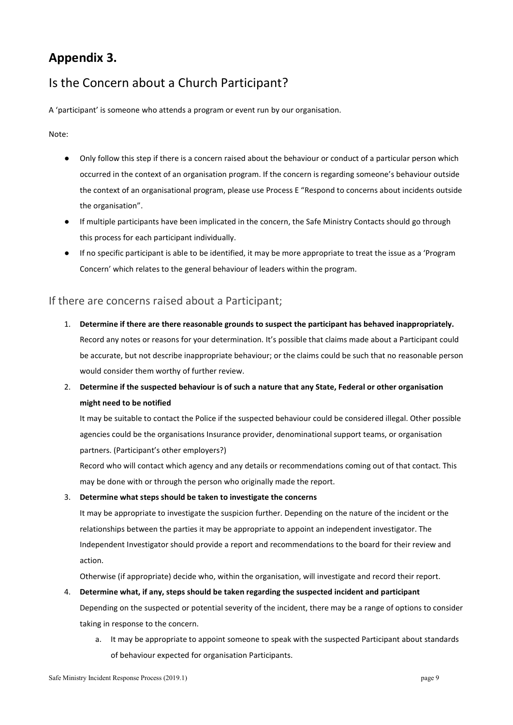# Appendix 3.

# Is the Concern about a Church Participant?

A 'participant' is someone who attends a program or event run by our organisation.

Note:

- Only follow this step if there is a concern raised about the behaviour or conduct of a particular person which occurred in the context of an organisation program. If the concern is regarding someone's behaviour outside the context of an organisational program, please use Process E "Respond to concerns about incidents outside the organisation".
- If multiple participants have been implicated in the concern, the Safe Ministry Contacts should go through this process for each participant individually.
- If no specific participant is able to be identified, it may be more appropriate to treat the issue as a 'Program Concern' which relates to the general behaviour of leaders within the program.

### If there are concerns raised about a Participant;

- 1. Determine if there are there reasonable grounds to suspect the participant has behaved inappropriately. Record any notes or reasons for your determination. It's possible that claims made about a Participant could be accurate, but not describe inappropriate behaviour; or the claims could be such that no reasonable person would consider them worthy of further review.
- 2. Determine if the suspected behaviour is of such a nature that any State, Federal or other organisation might need to be notified

It may be suitable to contact the Police if the suspected behaviour could be considered illegal. Other possible agencies could be the organisations Insurance provider, denominational support teams, or organisation partners. (Participant's other employers?)

Record who will contact which agency and any details or recommendations coming out of that contact. This may be done with or through the person who originally made the report.

3. Determine what steps should be taken to investigate the concerns

It may be appropriate to investigate the suspicion further. Depending on the nature of the incident or the relationships between the parties it may be appropriate to appoint an independent investigator. The Independent Investigator should provide a report and recommendations to the board for their review and action.

Otherwise (if appropriate) decide who, within the organisation, will investigate and record their report.

### 4. Determine what, if any, steps should be taken regarding the suspected incident and participant Depending on the suspected or potential severity of the incident, there may be a range of options to consider taking in response to the concern.

a. It may be appropriate to appoint someone to speak with the suspected Participant about standards of behaviour expected for organisation Participants.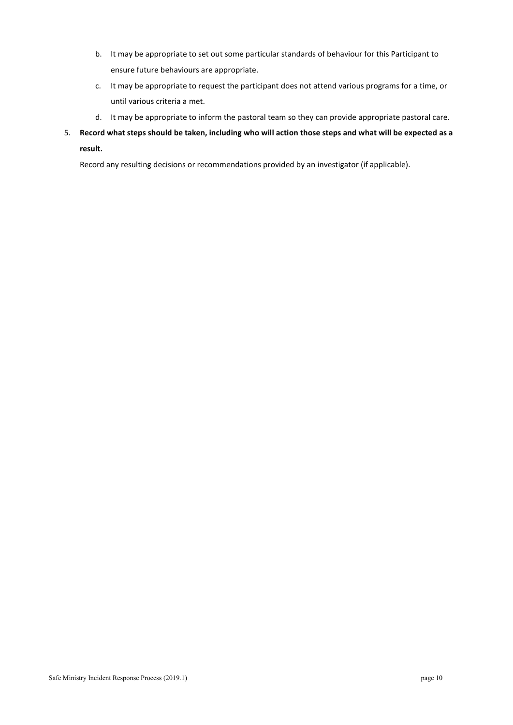- b. It may be appropriate to set out some particular standards of behaviour for this Participant to ensure future behaviours are appropriate.
- c. It may be appropriate to request the participant does not attend various programs for a time, or until various criteria a met.
- d. It may be appropriate to inform the pastoral team so they can provide appropriate pastoral care.
- 5. Record what steps should be taken, including who will action those steps and what will be expected as a result.

Record any resulting decisions or recommendations provided by an investigator (if applicable).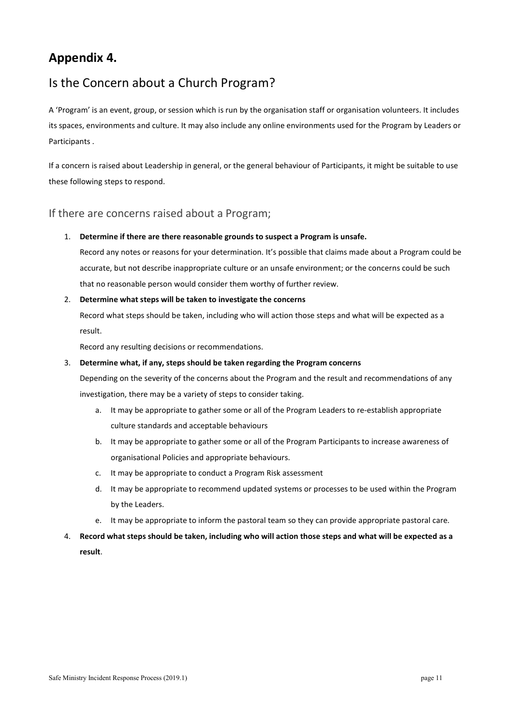# Appendix 4.

# Is the Concern about a Church Program?

A 'Program' is an event, group, or session which is run by the organisation staff or organisation volunteers. It includes its spaces, environments and culture. It may also include any online environments used for the Program by Leaders or Participants .

If a concern is raised about Leadership in general, or the general behaviour of Participants, it might be suitable to use these following steps to respond.

### If there are concerns raised about a Program;

1. Determine if there are there reasonable grounds to suspect a Program is unsafe.

Record any notes or reasons for your determination. It's possible that claims made about a Program could be accurate, but not describe inappropriate culture or an unsafe environment; or the concerns could be such that no reasonable person would consider them worthy of further review.

2. Determine what steps will be taken to investigate the concerns

Record what steps should be taken, including who will action those steps and what will be expected as a result.

Record any resulting decisions or recommendations.

#### 3. Determine what, if any, steps should be taken regarding the Program concerns

Depending on the severity of the concerns about the Program and the result and recommendations of any investigation, there may be a variety of steps to consider taking.

- a. It may be appropriate to gather some or all of the Program Leaders to re-establish appropriate culture standards and acceptable behaviours
- b. It may be appropriate to gather some or all of the Program Participants to increase awareness of organisational Policies and appropriate behaviours.
- c. It may be appropriate to conduct a Program Risk assessment
- d. It may be appropriate to recommend updated systems or processes to be used within the Program by the Leaders.
- e. It may be appropriate to inform the pastoral team so they can provide appropriate pastoral care.
- 4. Record what steps should be taken, including who will action those steps and what will be expected as a result.